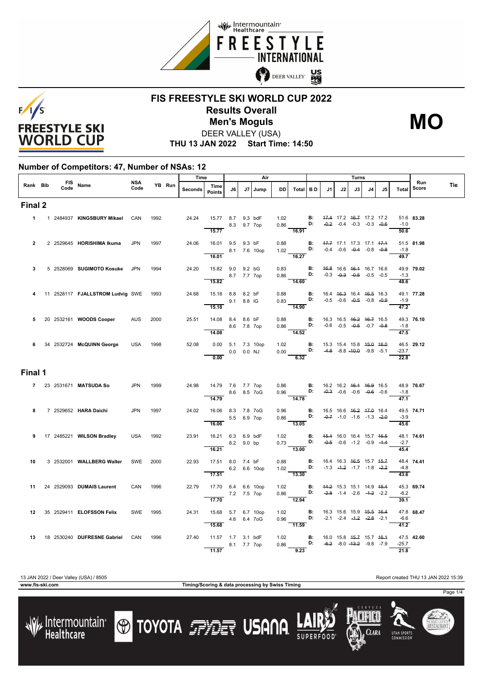



#### **FIS FREESTYLE SKI WORLD CUP 2022 Results Overall** DEER VALLEY (USA) **Men's Moguls MO**

**THU 13 JAN 2022 Start Time: 14:50**

#### **Number of Competitors: 47, Number of NSAs: 12**

|                |          |                                         | <b>NSA</b> |      |        | Time    |                                                  |             | Air          |      |                                                                                                                                 | Turns |                                                          |    |                                                                                      |    |    |                             | Run        |     |
|----------------|----------|-----------------------------------------|------------|------|--------|---------|--------------------------------------------------|-------------|--------------|------|---------------------------------------------------------------------------------------------------------------------------------|-------|----------------------------------------------------------|----|--------------------------------------------------------------------------------------|----|----|-----------------------------|------------|-----|
| Rank Bib       | FIS Name |                                         | Code       |      | YB Run | Seconds | Time<br><b>Points</b>                            | J6          | J7 Jump      | DD   | Total   BD                                                                                                                      |       | J1                                                       | J2 | J3                                                                                   | J4 | J5 | Total                       | Score      | Tie |
| <b>Final 2</b> |          |                                         |            |      |        |         |                                                  |             |              |      |                                                                                                                                 |       |                                                          |    |                                                                                      |    |    |                             |            |     |
|                |          | 1 1 2484937 KINGSBURY Mikael            | CAN        | 1992 |        | 24.24   | 15.77 8.7 9.3 bdF                                | 8.3 9.7 7op |              |      | 1.02 <b>B:</b> 47.4 17.2 46.7 17.2 17.2<br>0.86 <b>D:</b> -0.2 -0.4 -0.3 -0.3 -0.6                                              |       |                                                          |    | $-0.2$ $-0.4$ $-0.3$ $-0.3$ $-0.6$                                                   |    |    | $-1.0$                      | 51.6 83.28 |     |
| $\overline{2}$ |          | 2 2529645 HORISHIMA Ikuma               | <b>JPN</b> | 1997 |        | 24.06   | 15.77<br>16.01 9.5 9.3 bF                        |             |              |      | 16.91                                                                                                                           |       |                                                          |    |                                                                                      |    |    | 50.6                        | 51.5 81.98 |     |
|                |          |                                         |            |      |        |         | 8.1 7.6 10op<br>16.01                            |             |              |      | 0.88 <b>B:</b> 47.7 17.1 17.3 17.1 47.4<br>1.02 <b>D:</b> -0.4 -0.6 - <del>0.4</del> -0.8 -0. <del>8</del><br>$\frac{16.27}{ }$ |       |                                                          |    |                                                                                      |    |    | $-1.8$<br>49.7              |            |     |
| 3              |          | 5 2528069 SUGIMOTO Kosuke JPN           |            | 1994 |        | 24.20   | 15.82 9.0 9.2 bG<br>15.82                        | 8.7 7.7 7op |              |      | 0.83 <b>B:</b><br>0.86 <b>D:</b><br>14.60                                                                                       |       |                                                          |    | 46.8 16.6 46.4 16.7 16.6<br>$-0.3$ $-0.3$ $-0.5$ $-0.5$ $-0.5$                       |    |    | $-1.3$<br>48.6              | 49.9 79.02 |     |
| 4              |          | 11 2528117 FJALLSTROM Ludvig SWE 1993   |            |      |        | 24.68   | 15.18 8.8 8.2 bF<br>9.1 8.8 IG                   |             |              |      | 0.88 <b>B</b> : 16.4 4 <del>6.3</del> 16.4 4 <del>6.5</del> 16.3<br>0.83 <b>D:</b> -0.5 -0.6 -0.5 -0.8 -0.9                     |       |                                                          |    |                                                                                      |    |    | $-1.9$                      | 49.1 77.28 |     |
|                |          |                                         |            |      |        |         | 15.18                                            |             |              |      | 14.90                                                                                                                           |       |                                                          |    |                                                                                      |    |    | 47.2                        |            |     |
|                |          | 5 20 2532161 WOODS Cooper               | AUS        | 2000 |        | 25.51   | 14.08 8.4 8.6 bF<br>14.08                        | 8.6 7.8 7op |              |      | $0.88$ B:<br>0.86 D:<br>14.52                                                                                                   |       |                                                          |    | 16.3 16.5 46.2 46.7 16.5<br>$-0.6$ $-0.5$ $-0.5$ $-0.7$ $-0.8$                       |    |    | $-1.8$<br>$\frac{1}{47.5}$  | 49.3 76.10 |     |
|                |          | 6 34 2532724 McQUINN George             | USA        | 1998 |        | 52.08   | 0.00 5.1 7.3 10op<br>$0.0$ 0.0 NJ                |             |              |      | 1.02 <b>B:</b> 15.3 15.4 15.8 <del>15.0 16.0</del><br>0.00 <b>D:</b> -4.8 -8.8 -10.0 -9.8 -5.1                                  |       |                                                          |    |                                                                                      |    |    | $-23.7$                     | 46.5 29.12 |     |
|                |          |                                         |            |      |        |         | $\overline{0.00}$                                |             |              |      | $\overline{6.32}$                                                                                                               |       |                                                          |    |                                                                                      |    |    | $\overline{22.8}$           |            |     |
| Final 1        |          |                                         |            |      |        |         |                                                  |             |              |      |                                                                                                                                 |       |                                                          |    |                                                                                      |    |    |                             |            |     |
|                |          | 7 23 2531671 MATSUDA So                 | <b>JPN</b> | 1999 |        |         | 24.98 14.79 7.6 7.7 7op<br>8.6 8.5 7 oG<br>14.79 |             |              |      | 0.86 <b>B:</b> 16.2 16.2 <del>16.1 16.9</del> 16.5<br>0.96 <b>D:</b> -0.3 -0.6 -0.6 -0.6 -0.6<br>$\overline{14.78}$             |       |                                                          |    |                                                                                      |    |    | $-1.8$<br>47.1              | 48.9 76.67 |     |
| 8              |          | 7 2529652 HARA Daichi                   | <b>JPN</b> | 1997 |        | 24.02   | 16.06 8.3 7.8 7oG                                | 5.5 6.9 7op |              |      | 0.96 <b>B:</b><br>0.86 <b>D:</b>                                                                                                |       |                                                          |    | 16.5 16.6 <del>16.2</del> <del>17.0</del> 16.4<br>$-0.7$ $-1.0$ $-1.6$ $-1.3$ $-2.0$ |    |    | $-3.9$                      | 49.5 74.71 |     |
|                |          |                                         |            |      |        |         | 16.06                                            |             |              |      | $\overline{13.05}$                                                                                                              |       |                                                          |    |                                                                                      |    |    | 45.6                        |            |     |
|                |          | 9 17 2485221 WILSON Bradley             | USA        | 1992 |        | 23.91   | 16.21 6.3 6.9 bdF<br>8.2 9.0 bp<br>16.21         |             |              |      | 1.02 <b>B:</b> $45.4$ 16.0 16.4 15.7 46.5<br>0.73 <b>D:</b> $-0.5$ -0.6 -1.2 -0.9 -1.4<br>$\frac{1}{13.00}$                     |       |                                                          |    |                                                                                      |    |    | $-2.7$<br>45.4              | 48.1 74.61 |     |
| 10             |          | 3 2532001 WALLBERG Walter               | SWE        | 2000 |        | 22.93   | 17.51 8.0 7.4 bF<br>17.51                        |             | 6.2 6.6 10op |      | 0.88 <b>B:</b><br>1.02 <b>D:</b><br>$-13.30$                                                                                    |       |                                                          |    | 16.4 16.3 46.5 15.7 45.7<br>$-1.3$ $-4.2$ $-1.7$ $-1.8$ $-2.2$                       |    |    | $-4.8$<br>43.6              | 48.4 74.41 |     |
|                |          | 11 24 2529093 DUMAIS Laurent            | CAN        | 1996 |        |         | 22.79 17.70 6.4 6.6 10op<br>7.2 7.5 7op          |             |              |      | 1.02 <b>B</b> : 44.2 15.3 15.1 14.9 45.4<br>0.86 <b>D:</b> -2.8 -1.4 -2.6 -4.2 -2.2                                             |       |                                                          |    |                                                                                      |    |    | $-6.2$                      | 45.3 69.74 |     |
|                |          |                                         |            |      |        |         | 17.70                                            |             |              |      | 12.94                                                                                                                           |       |                                                          |    |                                                                                      |    |    | 39.1                        |            |     |
| 12             |          | 35 2529411 ELOFSSON Felix               | SWE        | 1995 |        |         | 24.31  15.68  5.7  6.7  10op<br>15.68            | 4.6 6.4 7oG |              |      | 1.02 <b>B:</b><br>0.96 <b>D:</b><br>$-11.59$                                                                                    |       |                                                          |    | 16.3 15.6 15.9 <del>15.5 16.4</del><br>$-2.1$ $-2.4$ $-4.2$ $-2.8$ $-2.1$            |    |    | -6.6<br>41.2                | 47.8 68.47 |     |
|                |          | 13 18 2530240 DUFRESNE Gabriel CAN 1996 |            |      |        |         | 27.40  11.57  1.7  3.1  bdF<br>11.57             | 8.1 7.7 7op |              | 1.02 | 0.86 <b>D:</b> $-6.2$ $-8.0$ $-13.2$ $-9.8$ $-7.9$<br>9.23                                                                      |       | <b>B:</b> 16.0 15.8 <del>15.7</del> 15.7 <del>16.1</del> |    |                                                                                      |    |    | $-25.7$<br>$\frac{21.8}{ }$ | 47.5 42.60 |     |

**www.fis-ski.com Timing/Scoring & data processing by Swiss Timing**

13 JAN 2022 / Deer Valley (USA) / 8505 Report created THU 13 JAN 2022 15:39

Page 1/4



Lintermountain<br>Healthcare







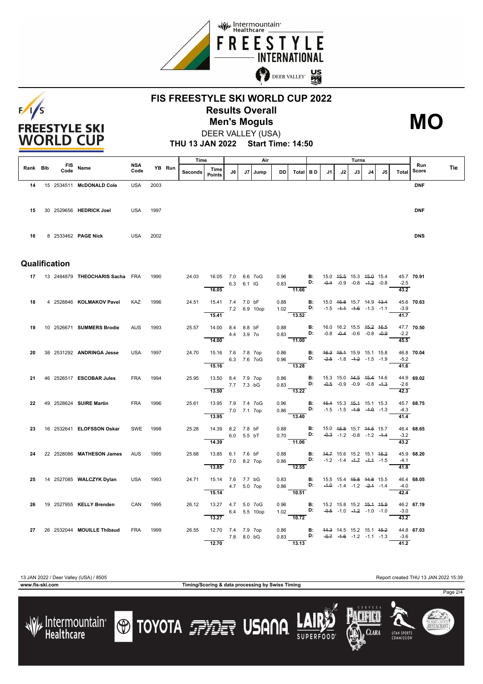

# $F/1/S$ **FREESTYLE SKI WORLD CUP**

## **FIS FREESTYLE SKI WORLD CUP 2022 Results Overall Men's Moguls MO**



**THU 13 JAN 2022 Start Time: 14:50** DEER VALLEY (USA)

|          |  |               |                                    |             |      |        | Time    |                                           |             |    | Air          |              |                                                                                                                      |            |                                                |    | Turns                              |                |    |                             |              |     |
|----------|--|---------------|------------------------------------|-------------|------|--------|---------|-------------------------------------------|-------------|----|--------------|--------------|----------------------------------------------------------------------------------------------------------------------|------------|------------------------------------------------|----|------------------------------------|----------------|----|-----------------------------|--------------|-----|
| Rank Bib |  | Code          | FIS Name                           | NSA<br>Code |      | YB Run | Seconds | Time<br><b>Points</b>                     | J6          | J7 | Jump         | DD           | Total   BD                                                                                                           |            | J1                                             | J2 | J3                                 | J <sub>4</sub> | J5 | Total                       | Run<br>Score | Tie |
| 14       |  |               | 15 2534511 McDONALD Cole           | USA         | 2003 |        |         |                                           |             |    |              |              |                                                                                                                      |            |                                                |    |                                    |                |    |                             | <b>DNF</b>   |     |
| 15       |  |               | 30 2529656 HEDRICK Joel            | <b>USA</b>  | 1997 |        |         |                                           |             |    |              |              |                                                                                                                      |            |                                                |    |                                    |                |    |                             | <b>DNF</b>   |     |
| 16       |  |               | 8 2533462 PAGE Nick                | USA         | 2002 |        |         |                                           |             |    |              |              |                                                                                                                      |            |                                                |    |                                    |                |    |                             | <b>DNS</b>   |     |
|          |  | Qualification |                                    |             |      |        |         |                                           |             |    |              |              |                                                                                                                      |            |                                                |    |                                    |                |    |                             |              |     |
|          |  |               | 17 13 2484879 THEOCHARIS Sacha FRA |             | 1990 |        | 24.03   | 16.05 7.0 6.6 7oG<br>16.05                | 6.3 6.1 IG  |    |              |              | $0.96$ B:<br>0.83 D:<br>$-11.66$                                                                                     |            | 15.0 <del>15.5</del> 15.3 <del>15.0</del> 15.4 |    | $-0.4$ $-0.9$ $-0.8$ $-4.2$ $-0.8$ |                |    | $-2.5$<br>43.2              | 45.7 70.91   |     |
| 18       |  |               | 4 2528846 KOLMAKOV Pavel           | KAZ         | 1996 |        | 24.51   | 15.41 7.4 7.0 bF<br>7.2 6.9 10op<br>15.41 |             |    |              |              | 0.88 <b>B:</b> 15.0 4 <del>5.8</del> 15.7 14.9 43.4<br>1.02 <b>D:</b> -1.5 -4.4 -4.6 -1.3 -1.1<br>$\overline{13.52}$ |            |                                                |    |                                    |                |    | $-3.9$<br>41.7              | 45.6 70.63   |     |
| 19       |  |               | 10 2526671 SUMMERS Brodie          | <b>AUS</b>  | 1993 |        | 25.57   | 14.00 8.4 8.8 bF<br>14.00                 | 4.4 3.9 7 0 |    |              |              | $0.88$ B:<br>0.83 D:<br>$-11.00$                                                                                     |            | 16.0 16.2 15.5 <del>15.2</del> 16.5            |    | $-0.8$ $-0.4$ $-0.6$ $-0.8$ $-0.9$ |                |    | $-2.2$<br>45.5              | 47.7 70.50   |     |
| 20       |  |               | 38 2531292 ANDRINGA Jesse          | <b>USA</b>  | 1997 |        | 24.70   | 15.16 7.6 7.8 7op<br>6.3 7.6 7oG<br>15.16 |             |    |              | 0.86         | 0.96 <b>D:</b> $-2.5$ -1.8 -1.2 -1.5 -1.9<br>$-13.28$                                                                |            | <b>B:</b> 46.3 45.4 15.9 15.1 15.8             |    |                                    |                |    | $-5.2$<br>41.6              | 46.8 70.04   |     |
| 21       |  |               | 46 2526517 ESCOBAR Jules           | <b>FRA</b>  | 1994 |        | 25.95   | 13.50 8.4 7.9 7op<br>13.50                | 7.7 7.3 bG  |    |              | 0.86         | $0.83$ D:<br>$\overline{13.22}$                                                                                      | B:         | 15.3 15.0 44.5 45.4 14.6                       |    | $-0.5$ $-0.9$ $-0.9$ $-0.8$ $-4.3$ |                |    | $-2.6$<br>42.3              | 44.9 69.02   |     |
| 22       |  |               | 49 2528624 SUIRE Martin            | <b>FRA</b>  | 1996 |        | 25.61   | 13.95 7.9 7.4 7oG<br>7.0 7.1 7op<br>13.95 |             |    |              | 0.96         | $0.86$ D: $-1.5$ $-1.5$ $-4.8$ $-4.0$ $-1.3$<br>13.40                                                                | <b>B:</b>  | 45.4 15.3 45.4 15.1 15.3                       |    |                                    |                |    | $-4.3$<br>$\frac{41.4}{ }$  | 45.7 68.75   |     |
| 23       |  |               | 16 2532641 ELOFSSON Oskar          | SWE         | 1998 |        | 25.28   | 14.39 8.2 7.8 bF<br>14.39                 | 6.0 5.5 bT  |    |              | 0.88         | $0.70$ D:<br>$-11.06$                                                                                                | <b>B</b> : | 15.0 4 <del>5.8</del> 15.7 44.5 15.7           |    | $-0.3$ $-1.2$ $-0.8$ $-1.2$ $-4.4$ |                |    | $-3.2$<br>$\overline{43.2}$ | 46.4 68.65   |     |
| 24       |  |               | 22 2528086 MATHESON James          | <b>AUS</b>  | 1995 |        | 25.68   | 13.85 6.1 7.6 bF<br>13.85                 | 7.0 8.2 7op |    |              |              | 0.88 <b>B:</b> 44.7 15.6 15.2 15.1 46.2<br>0.86 <b>D:</b> -1.2 -1.4 - <del>1.7</del> -1.4 -1.5<br>$\overline{12.55}$ |            |                                                |    |                                    |                |    | $-4.1$<br>$\frac{41.8}{ }$  | 45.9 68.20   |     |
| 25       |  |               | 14 2527085 WALCZYK Dylan           | USA         | 1993 |        | 24.71   | 15.14 7.6 7.7 bG<br>4.7 5.0 7op<br>15.14  |             |    |              | 0.86         | 0.83 <b>B:</b> 15.5 15.4 <del>15.8</del> 14.8 15.5<br>0.86 <b>D:</b> -1.0 -1.4 -1.2 -2.4 -1.4<br>$\frac{1}{10.51}$   |            |                                                |    |                                    |                |    | $-4.0$<br>42.4              | 46.4 68.05   |     |
| 26       |  |               | 19 2527955 KELLY Brenden           | CAN         | 1995 |        | 26.12   | 13.27  4.7  5.0  7oG<br>13.27             |             |    | 6.4 5.5 10op | 0.96<br>1.02 | D:<br>$\overline{10.72}$                                                                                             |            | <b>B:</b> 15.2 15.8 15.2 45.4 45.9             |    | $-0.5$ $-1.0$ $-4.2$ $-1.0$ $-1.0$ |                |    | $-3.0$<br>43.2              | 46.2 67.19   |     |
| 27       |  |               | 26 2532044 MOUILLE Thibaud         | <b>FRA</b>  | 1999 |        | 26.55   | 12.70 7.4 7.9 7op<br>7.8 8.0 bG<br>12.70  |             |    |              | 0.86         | $0.83$ $\overline{13.13}$ $\overline{13.13}$                                                                         |            | <b>B:</b> 44.3 14.5 15.2 15.1 45.2             |    |                                    |                |    | $-3.6$<br>$\frac{41.2}{ }$  | 44.8 67.03   |     |

13 JAN 2022 / Deer Valley (USA) / 8505 Report created THU 13 JAN 2022 15:39

/ Intermountain<br>Healthcare

**www.fis-ski.com Timing/Scoring & data processing by Swiss Timing**

**TOYOTA FILE USANA** 

**CLARA** 

**UTAH SPORT** 

Page 2/4

SUMMIT COUNTY<br>**RESTAURANT** 

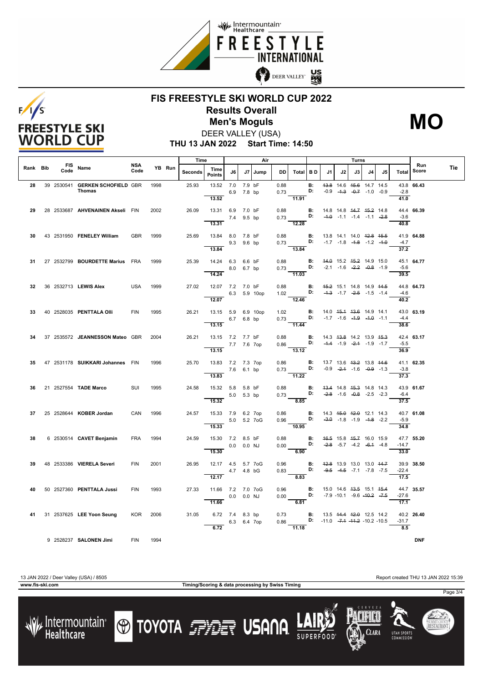



#### **FIS FREESTYLE SKI WORLD CUP 2022 Results Overall Men's Moguls MO**



**THU 13 JAN 2022 Start Time: 14:50** DEER VALLEY (USA)

|          |                    |                                           |                    |        | Time    |                                            |                |             | Air          |      |                                                                                                                        |                   |                                                                                                | Turns |                                                                |    |                                    |                   |                     |     |
|----------|--------------------|-------------------------------------------|--------------------|--------|---------|--------------------------------------------|----------------|-------------|--------------|------|------------------------------------------------------------------------------------------------------------------------|-------------------|------------------------------------------------------------------------------------------------|-------|----------------------------------------------------------------|----|------------------------------------|-------------------|---------------------|-----|
| Rank Bib | <b>FIS</b><br>Code | Name                                      | <b>NSA</b><br>Code | YB Run | Seconds | Time<br>Points                             | J6             |             | J7 Jump      | DD I | Total BD                                                                                                               |                   | J1                                                                                             | J2    | J3 I                                                           | J4 | J5                                 | <b>Total</b>      | <b>Run</b><br>Score | Tie |
| 28       |                    | 39 2530541 GERKEN SCHOFIELD GBR<br>Thomas |                    | 1998   | 25.93   | 13.52 7.0 7.9 bF<br>13.52                  |                | 6.9 7.8 bp  |              | 0.88 | 0.73<br>11.91                                                                                                          | <b>B:</b><br>D:   |                                                                                                |       | 43.8 14.6 45.6 14.7 14.5<br>$-0.9$ $-4.3$ $-0.7$ $-1.0$ $-0.9$ |    |                                    | $-2.8$<br>41.0    | 43.8 66.43          |     |
| 29       |                    | 28 2533687 AHVENAINEN Akseli FIN          |                    | 2002   | 26.09   | 13.31 6.9 7.0 bF                           | 7.4 9.5 bp     |             |              | 0.88 | $0.73$ D:                                                                                                              | B:                | 14.8 14.8 <del>14.7</del> <del>15.2</del> 14.8                                                 |       | $-4.0$ $-1.1$ $-1.4$ $-1.1$ $-2.8$                             |    |                                    | $-3.6$            | 44.4 66.39          |     |
|          |                    |                                           |                    |        |         | 13.31                                      |                |             |              |      | 12.28                                                                                                                  |                   |                                                                                                |       |                                                                |    |                                    | 40.8              |                     |     |
| 30.      |                    | 43 2531950 FENELEY William                | <b>GBR</b>         | 1999   | 25.69   | 13.84 8.0 7.8 bF                           | 9.3 9.6 bp     |             |              |      | 0.88 <b>B</b> : 13.8 14.1 14.0 <del>12.8 15.5</del><br>0.73 <b>D:</b> -1.7 -1.8 - <del>1.8</del> -1.2 - <del>1.0</del> |                   |                                                                                                |       |                                                                |    |                                    | $-4.7$            | 41.9 64.88          |     |
|          |                    |                                           |                    |        |         | 13.84                                      |                |             |              |      | $\overline{13.84}$                                                                                                     |                   |                                                                                                |       |                                                                |    |                                    | $\overline{37.2}$ |                     |     |
| 31       |                    | 27 2532799 BOURDETTE Marius FRA           |                    | 1999   | 25.39   | 14.24 6.3 6.6 bF                           | 8.0 6.7 bp     |             |              |      | 0.88 <b>B:</b> 44.0 15.2 45.2 14.9 15.0<br>0.73 <b>D:</b> $-2.1$ $-1.6$ $-2.2$ $-0.8$ $-1.9$                           |                   |                                                                                                |       |                                                                |    |                                    | $-5.6$            | 45.1 64.77          |     |
|          |                    |                                           |                    |        |         | 14.24                                      |                |             |              |      | $\frac{1}{11.03}$                                                                                                      |                   |                                                                                                |       |                                                                |    |                                    | 39.5              |                     |     |
| 32       |                    | 36 2532713 LEWIS Alex                     | <b>USA</b>         | 1999   | 27.02   | 12.07 7.2 7.0 bF<br>12.07                  |                |             | 6.3 5.9 10op |      | 0.88 <b>B:</b> 4 <del>5.2</del> 15.1 14.8 14.9 44.5<br>1.02 <b>D</b> :<br>12.46                                        |                   |                                                                                                |       |                                                                |    | $-4.3$ $-1.7$ $-2.5$ $-1.5$ $-1.4$ | $-4.6$<br>40.2    | 44.8 64.73          |     |
| 33       |                    | 40 2528035 PENTTALA OIII                  | <b>FIN</b>         | 1995   | 26.21   | 13.15 5.9 6.9 10op<br>6.7 6.8 bp           |                |             |              | 1.02 | $0.73$ $\frac{D!}{11.44}$ $-1.7$ $-1.6$ $-4.9$ $-4.0$ $-1.1$                                                           | $\blacksquare$ B: | 14.0 45.4 43.6 14.9 14.1                                                                       |       |                                                                |    |                                    | $-4.4$            | 43.0 63.19          |     |
|          |                    |                                           |                    |        |         | 13.15                                      |                |             |              |      |                                                                                                                        |                   |                                                                                                |       |                                                                |    |                                    | 38.6              |                     |     |
| 34       |                    | 37 2535572 JEANNESSON Mateo GBR           |                    | 2004   | 26.21   | 13.15 7.2 7.7 bF<br>13.15                  | 7.7 7.6 7op    |             |              | 0.88 | $0.86$ D:<br>13.12                                                                                                     | B:                |                                                                                                |       | 14.3 43.8 14.2 13.9 45.3<br>$-4.4$ $-1.9$ $-2.4$ $-1.9$ $-1.7$ |    |                                    | $-5.5$<br>36.9    | 42.4 63.17          |     |
| 35.      |                    | 47 2531178 SUIKKARI Johannes FIN          |                    | 1996   | 25.70   | 13.83 7.2 7.3 7op<br>7.6 6.1 bp            |                |             |              | 0.86 | 0.73                                                                                                                   | $\mathbf{B}$ :    | 13.7 13.6 <del>13.2</del> 13.8 <del>14.6</del><br><b>D:</b> $-0.9$ $-2.4$ $-1.6$ $-0.9$ $-1.3$ |       |                                                                |    |                                    | $-3.8$            | 41.1 62.35          |     |
|          |                    |                                           |                    |        |         | 13.83                                      |                |             |              |      | $\overline{11.22}$                                                                                                     |                   |                                                                                                |       |                                                                |    |                                    | 37.3              |                     |     |
| 36       |                    | 21 2527554 TADE Marco                     | SUI                | 1995   | 24.58   | 15.32 5.8 5.8 bF                           |                | 5.0 5.3 bp  |              | 0.88 | 0.73 <b>D:</b> $-2.8$ -1.6 $-0.8$ -2.5 -2.3                                                                            |                   | <b>B:</b> 43.4 14.8 45.3 14.8 14.3                                                             |       |                                                                |    |                                    | -6.4              | 43.9 61.67          |     |
|          |                    |                                           |                    |        |         | 15.32                                      |                |             |              |      | 8.85                                                                                                                   |                   |                                                                                                |       |                                                                |    |                                    | $\overline{37.5}$ |                     |     |
| 37       |                    | 25 2528644 KOBER Jordan                   | CAN                | 1996   | 24.57   | 15.33 7.9 6.2 7op                          |                | 5.0 5.2 7oG |              |      | 0.86 <b>B:</b> 14.3 45.0 42.0 12.1 14.3<br>$0.96$ D: $-3.0$ -1.8 -1.9 -1.8 -2.2                                        |                   |                                                                                                |       |                                                                |    |                                    | $-5.9$            | 40.7 61.08          |     |
|          |                    |                                           |                    |        |         | 15.33                                      |                |             |              |      | 10.95                                                                                                                  |                   |                                                                                                |       |                                                                |    |                                    | 34.8              |                     |     |
| 38       |                    | 6 2530514 CAVET Benjamin                  | <b>FRA</b>         | 1994   | 24.59   | 15.30 7.2 8.5 bF                           | $0.0$ $0.0$ NJ |             |              |      | 0.88 B: 46.5 15.8 45.7 16.0 15.9<br>0.00 <b>D:</b> $-2.8$ -5.7 -4.2 -6.4 -4.8                                          |                   |                                                                                                |       |                                                                |    |                                    | $-14.7$           | 47.7 55.20          |     |
|          |                    |                                           |                    |        |         | 15.30                                      |                |             |              |      | $-6.90$                                                                                                                |                   |                                                                                                |       |                                                                |    |                                    | 33.0              |                     |     |
| 39       |                    | 48 2533386 VIERELA Severi                 | <b>FIN</b>         | 2001   | 26.95   | 12.17  4.5  5.7  7oG                       | 4.7 4.8 bG     |             |              | 0.83 | 0.96 <b>B:</b> 4 <del>2.8</del> 13.9 13.0 13.0 44.7<br>0.83 <b>D:</b> -9.5 -4.5 -7.1 -7.8 -7.5                         |                   |                                                                                                |       | $-9.5$ $-4.5$ $-7.1$ $-7.8$ $-7.5$                             |    |                                    | $-22.4$           | 39.9 38.50          |     |
|          |                    |                                           |                    |        |         | 12.17                                      |                |             |              |      | 8.83                                                                                                                   |                   |                                                                                                |       |                                                                |    |                                    | 17.5              |                     |     |
| 40       |                    | 50 2527360 PENTTALA Jussi                 | <b>FIN</b>         | 1993   | 27.33   | 11.66 7.2 7.0 7oG<br>$0.0$ 0.0 NJ<br>11.66 |                |             |              |      | 0.96 <b>B:</b> 15.0 14.6 <del>13.5</del> 15.1 <del>15.4</del><br>0.00 <b>D:</b> -7.9 -10.1 -9.6 -10.2 -7.5<br>6.81     |                   |                                                                                                |       |                                                                |    |                                    | $-27.6$<br>17.1   | 44.7 35.57          |     |
|          |                    | 31 2537625 LEE Yoon Seung                 | <b>KOR</b>         | 2006   | 31.05   | 6.72 7.4 8.3 bp                            |                |             |              | 0.73 | 0.86 <b>D:</b> -11.0 - <del>7.1</del> -11.2 -10.2 -10.5                                                                |                   | <b>B:</b> 13.5 44.4 42.0 12.5 14.2                                                             |       |                                                                |    |                                    | $-31.7$           | 40.2 26.40          |     |
|          |                    |                                           |                    |        |         | 6.72                                       | 6.3 6.4 7op    |             |              |      | 11.18                                                                                                                  |                   |                                                                                                |       |                                                                |    |                                    | 8.5               |                     |     |
|          |                    | 9 2528237 SALONEN Jimi                    | <b>FIN</b>         | 1994   |         |                                            |                |             |              |      |                                                                                                                        |                   |                                                                                                |       |                                                                |    |                                    |                   | <b>DNF</b>          |     |